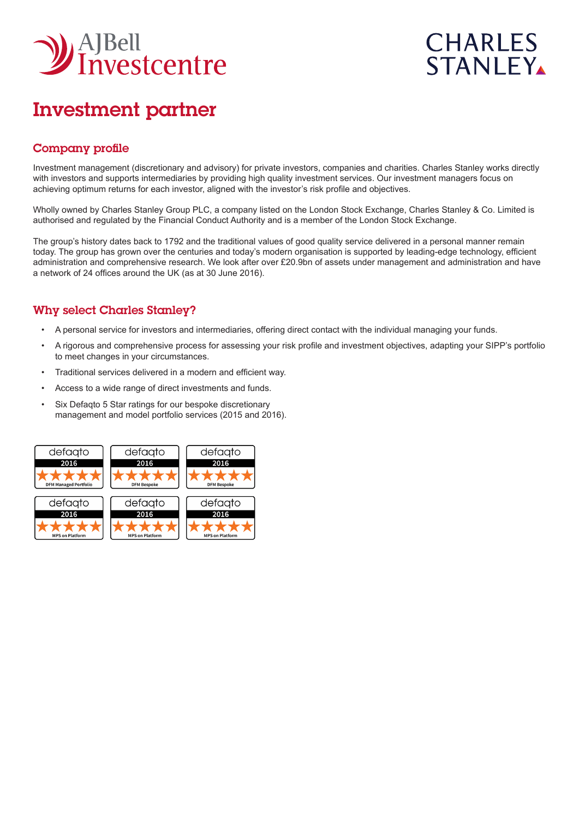

# **CHARLES STANLEY**

## Investment partner

## Company profile

Investment management (discretionary and advisory) for private investors, companies and charities. Charles Stanley works directly with investors and supports intermediaries by providing high quality investment services. Our investment managers focus on achieving optimum returns for each investor, aligned with the investor's risk profile and objectives.

Wholly owned by Charles Stanley Group PLC, a company listed on the London Stock Exchange, Charles Stanley & Co. Limited is authorised and regulated by the Financial Conduct Authority and is a member of the London Stock Exchange.

The group's history dates back to 1792 and the traditional values of good quality service delivered in a personal manner remain today. The group has grown over the centuries and today's modern organisation is supported by leading-edge technology, efficient administration and comprehensive research. We look after over £20.9bn of assets under management and administration and have a network of 24 offices around the UK (as at 30 June 2016).

## Why select Charles Stanley?

- A personal service for investors and intermediaries, offering direct contact with the individual managing your funds.
- A rigorous and comprehensive process for assessing your risk profile and investment objectives, adapting your SIPP's portfolio to meet changes in your circumstances.
- Traditional services delivered in a modern and efficient way.
- Access to a wide range of direct investments and funds.
- Six Defaqto 5 Star ratings for our bespoke discretionary management and model portfolio services (2015 and 2016).

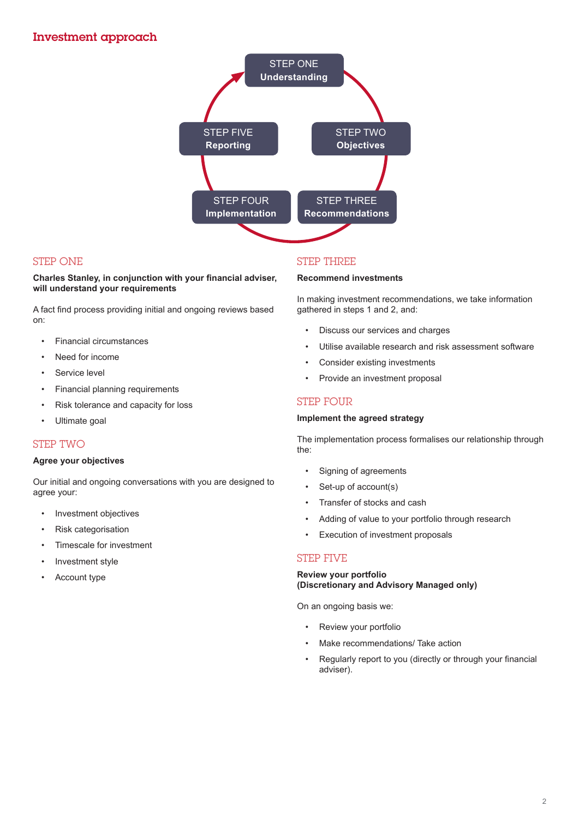

## STEP ONE

#### **Charles Stanley, in conjunction with your financial adviser, will understand your requirements**

A fact find process providing initial and ongoing reviews based on:

- Financial circumstances
- Need for income
- Service level
- Financial planning requirements
- Risk tolerance and capacity for loss
- Ultimate goal

## STEP TWO

#### **Agree your objectives**

Our initial and ongoing conversations with you are designed to agree your:

- Investment objectives
- Risk categorisation
- Timescale for investment
- Investment style
- Account type

## STEP THREE

#### **Recommend investments**

In making investment recommendations, we take information gathered in steps 1 and 2, and:

- Discuss our services and charges
- Utilise available research and risk assessment software
- Consider existing investments
- Provide an investment proposal

## STEP FOUR

#### **Implement the agreed strategy**

The implementation process formalises our relationship through the:

- Signing of agreements
- Set-up of account(s)
- Transfer of stocks and cash
- Adding of value to your portfolio through research
- Execution of investment proposals

## STEP FIVE

#### **Review your portfolio (Discretionary and Advisory Managed only)**

On an ongoing basis we:

- Review your portfolio
- Make recommendations/ Take action
- Regularly report to you (directly or through your financial adviser).